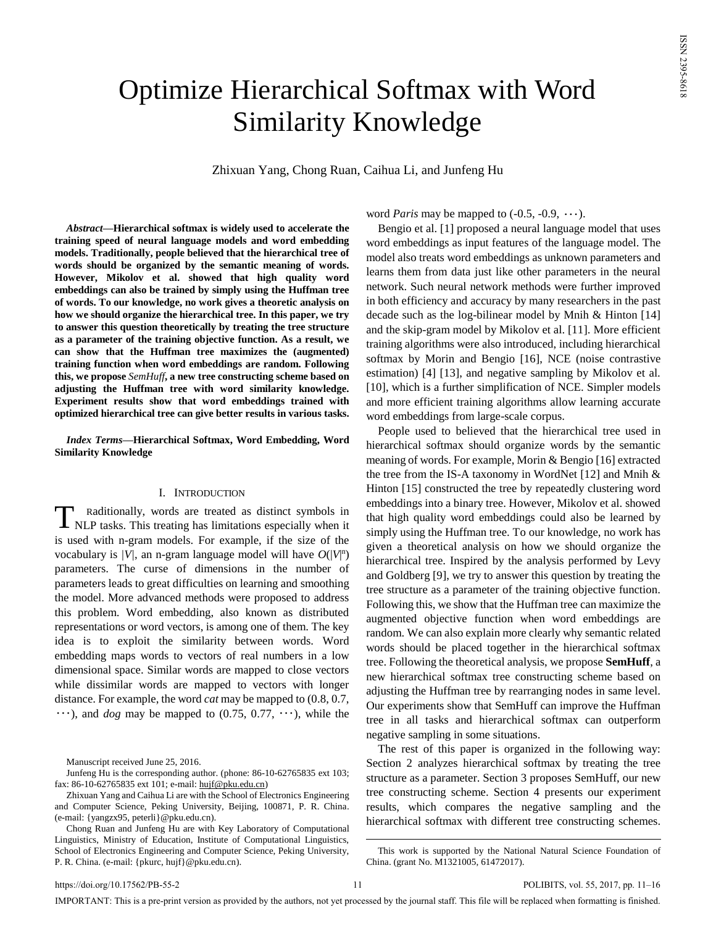# Optimize Hierarchical Softmax with Word Similarity Knowledge

Zhixuan Yang, Chong Ruan, Caihua Li, and Junfeng Hu

*Abstract***—Hierarchical softmax is widely used to accelerate the training speed of neural language models and word embedding models. Traditionally, people believed that the hierarchical tree of words should be organized by the semantic meaning of words. However, Mikolov et al. showed that high quality word embeddings can also be trained by simply using the Huffman tree of words. To our knowledge, no work gives a theoretic analysis on how we should organize the hierarchical tree. In this paper, we try to answer this question theoretically by treating the tree structure as a parameter of the training objective function. As a result, we can show that the Huffman tree maximizes the (augmented) training function when word embeddings are random. Following this, we propose** *SemHuff***, a new tree constructing scheme based on adjusting the Huffman tree with word similarity knowledge. Experiment results show that word embeddings trained with optimized hierarchical tree can give better results in various tasks.**

*Index Terms***—Hierarchical Softmax, Word Embedding, Word Similarity Knowledge**

## I. INTRODUCTION

Raditionally, words are treated as distinct symbols in NLP tasks. This treating has limitations especially when it is used with n-gram models. For example, if the size of the vocabulary is  $/V$ , an n-gram language model will have  $O(|V|<sup>n</sup>)$ parameters. The curse of dimensions in the number of parameters leads to great difficulties on learning and smoothing the model. More advanced methods were proposed to address this problem. Word embedding, also known as distributed representations or word vectors, is among one of them. The key idea is to exploit the similarity between words. Word embedding maps words to vectors of real numbers in a low dimensional space. Similar words are mapped to close vectors while dissimilar words are mapped to vectors with longer distance. For example, the word *cat* may be mapped to (0.8, 0.7,  $\cdots$ ), and *dog* may be mapped to (0.75, 0.77,  $\cdots$ ), while the T

Manuscript received June 25, 2016.

Junfeng Hu is the corresponding author. (phone: 86-10-62765835 ext 103; fax: 86-10-62765835 ext 101; e-mail[: hujf@pku.edu.cn\)](mailto:hujf@pku.edu.cn)

word *Paris* may be mapped to  $(-0.5, -0.9, \dots)$ .

Bengio et al. [1] proposed a neural language model that uses word embeddings as input features of the language model. The model also treats word embeddings as unknown parameters and learns them from data just like other parameters in the neural network. Such neural network methods were further improved in both efficiency and accuracy by many researchers in the past decade such as the log-bilinear model by Mnih & Hinton [14] and the skip-gram model by Mikolov et al. [11]. More efficient training algorithms were also introduced, including hierarchical softmax by Morin and Bengio [16], NCE (noise contrastive estimation) [4] [13], and negative sampling by Mikolov et al. [10], which is a further simplification of NCE. Simpler models and more efficient training algorithms allow learning accurate word embeddings from large-scale corpus.

People used to believed that the hierarchical tree used in hierarchical softmax should organize words by the semantic meaning of words. For example, Morin & Bengio [16] extracted the tree from the IS-A taxonomy in WordNet [12] and Mnih & Hinton [15] constructed the tree by repeatedly clustering word embeddings into a binary tree. However, Mikolov et al. showed that high quality word embeddings could also be learned by simply using the Huffman tree. To our knowledge, no work has given a theoretical analysis on how we should organize the hierarchical tree. Inspired by the analysis performed by Levy and Goldberg [9], we try to answer this question by treating the tree structure as a parameter of the training objective function. Following this, we show that the Huffman tree can maximize the augmented objective function when word embeddings are random. We can also explain more clearly why semantic related words should be placed together in the hierarchical softmax tree. Following the theoretical analysis, we propose **SemHuff**, a new hierarchical softmax tree constructing scheme based on adjusting the Huffman tree by rearranging nodes in same level. Our experiments show that SemHuff can improve the Huffman tree in all tasks and hierarchical softmax can outperform negative sampling in some situations.

The rest of this paper is organized in the following way: Section 2 analyzes hierarchical softmax by treating the tree structure as a parameter. Section 3 proposes SemHuff, our new tree constructing scheme. Section 4 presents our experiment results, which compares the negative sampling and the hierarchical softmax with different tree constructing schemes.

IMPORTANT: This is a pre-print version as provided by the authors, not yet processed by the journal staff. This file will be replaced when formatting is finished.

 $\overline{a}$ 

Zhixuan Yang and Caihua Li are with the School of Electronics Engineering and Computer Science, Peking University, Beijing, 100871, P. R. China. (e-mail: {yangzx95, peterli}@pku.edu.cn).

Chong Ruan and Junfeng Hu are with Key Laboratory of Computational Linguistics, Ministry of Education, Institute of Computational Linguistics, School of Electronics Engineering and Computer Science, Peking University, P. R. China. (e-mail: {pkurc, hujf}@pku.edu.cn).

This work is supported by the National Natural Science Foundation of China. (grant No. M1321005, 61472017).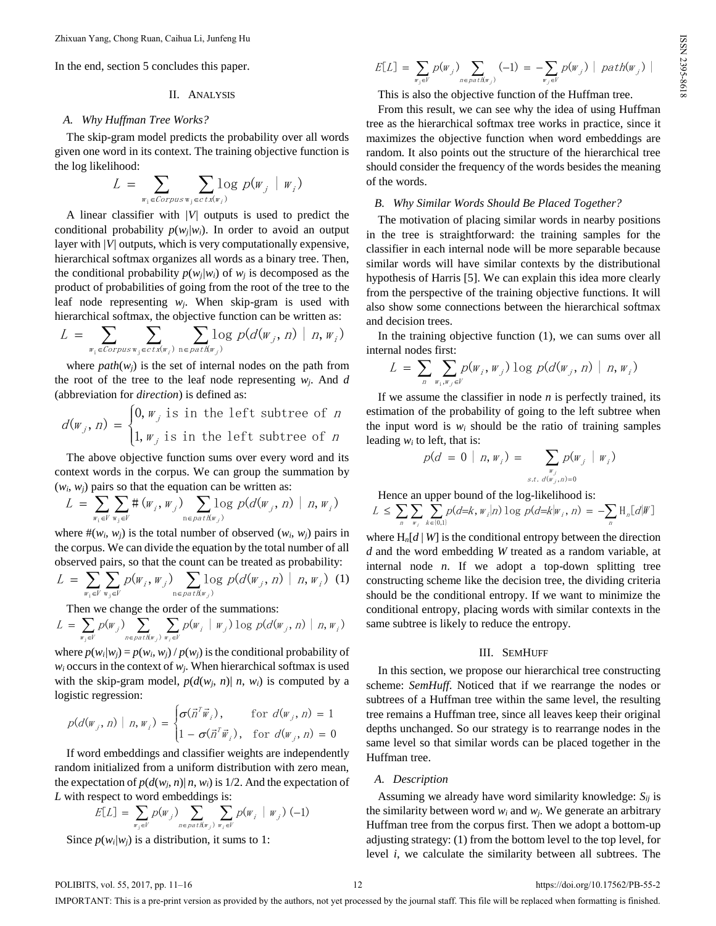In the end, section 5 concludes this paper.

## II. ANALYSIS

## *A. Why Huffman Tree Works?*

The skip-gram model predicts the probability over all words given one word in its context. The training objective function is the log likelihood:

$$
L = \sum_{w_i \in Corpus_{w_j} \in ctx(w_i)} log p(w_j | w_i)
$$

A linear classifier with *|V|* outputs is used to predict the conditional probability  $p(w_i|w_i)$ . In order to avoid an output layer with *|V|* outputs, which is very computationally expensive, hierarchical softmax organizes all words as a binary tree. Then, the conditional probability  $p(w_i/w_i)$  of  $w_i$  is decomposed as the product of probabilities of going from the root of the tree to the leaf node representing *wj*. When skip-gram is used with hierarchical softmax, the objective function can be written as:

$$
L = \sum_{w_i \in Corpus_{w_j} \in ctx(w_i)} \sum_{n \in path(w_j)} log p(d(w_j, n) | n, w_i)
$$

where  $path(w_i)$  is the set of internal nodes on the path from the root of the tree to the leaf node representing  $w_i$ . And *d* (abbreviation for *direction*) is defined as:

$$
d(w_j, n) = \begin{cases} 0, w_j \text{ is in the left subtree of } n \\ 1, w_j \text{ is in the left subtree of } n \end{cases}
$$

The above objective function sums over every word and its context words in the corpus. We can group the summation by  $(w_i, w_j)$  pairs so that the equation can be written as:

$$
L = \sum_{w_i \in V} \sum_{w_j \in V} \#(w_j, w_j) \sum_{v \in \text{path}(w_j)} \log p(d(w_j, n) | n, w_j)
$$

where  $\#(w_i, w_j)$  is the total number of observed  $(w_i, w_j)$  pairs in the corpus. We can divide the equation by the total number of all observed pairs, so that the count can be treated as probability:

$$
L = \sum_{w_i \in V} \sum_{w_j \in V} p(w_i, w_j) \sum_{v \in \text{path}(w_j)} \log p(d(w_j, n) \mid n, w_i) \tag{1}
$$

Then we change the order of the summations:

$$
L = \sum_{w_j \in V} p(w_j) \sum_{n \in \text{path}(w_j)} \sum_{w_i \in V} p(w_i \mid w_j) \log p(d(w_j, n) \mid n, w_i)
$$

where  $p(w_i|w_j) = p(w_i, w_j) / p(w_j)$  is the conditional probability of  $w_i$  occurs in the context of  $w_i$ . When hierarchical softmax is used with the skip-gram model,  $p(d(w_i, n) | n, w_i)$  is computed by a logistic regression:

$$
p(d(\mathbf{w}_j, n) | n, \mathbf{w}_i) = \begin{cases} \sigma(\vec{n}^T \vec{\mathbf{w}}_i), & \text{for } d(\mathbf{w}_j, n) = 1 \\ 1 - \sigma(\vec{n}^T \vec{\mathbf{w}}_i), & \text{for } d(\mathbf{w}_j, n) = 0 \end{cases}
$$

If word embeddings and classifier weights are independently random initialized from a uniform distribution with zero mean, the expectation of  $p(d(w_i, n) | n, w_i)$  is 1/2. And the expectation of *L* with respect to word embeddings is:

$$
E[L] = \sum_{w_j \in V} p(w_j) \sum_{n \in \mathit{path}(w_j)} \sum_{w_i \in V} p(w_i \mid w_j) (-1)
$$

Since  $p(w_i|w_i)$  is a distribution, it sums to 1:

$$
E[L] = \sum_{w_j \in V} p(w_j) \sum_{n \in path(w_j)} (-1) = - \sum_{w_j \in V} p(w_j) |path(w_j)|
$$

This is also the objective function of the Huffman tree.

From this result, we can see why the idea of using Huffman tree as the hierarchical softmax tree works in practice, since it maximizes the objective function when word embeddings are random. It also points out the structure of the hierarchical tree should consider the frequency of the words besides the meaning of the words.

## *B. Why Similar Words Should Be Placed Together?*

The motivation of placing similar words in nearby positions in the tree is straightforward: the training samples for the classifier in each internal node will be more separable because similar words will have similar contexts by the distributional hypothesis of Harris [5]. We can explain this idea more clearly from the perspective of the training objective functions. It will also show some connections between the hierarchical softmax and decision trees.

In the training objective function (1), we can sums over all internal nodes first:

$$
L = \sum_{n} \sum_{w_i, w_j \in V} p(w_i, w_j) \log p(d(w_j, n) | n, w_i)
$$

If we assume the classifier in node *n* is perfectly trained, its estimation of the probability of going to the left subtree when the input word is  $w_i$  should be the ratio of training samples leading  $w_i$  to left, that is:

$$
p(d = 0 | n, w_i) = \sum_{\substack{w_j \\ s.t. d(w_j, n) = 0}} p(w_j | w_i)
$$

Hence an upper bound of the log-likelihood is:

$$
L \leq \sum_{n} \sum_{w_i} \sum_{k \in \{0,1\}} p(d = k, w_i | n) \log p(d = k | w_i, n) = -\sum_{n} \mathcal{H}_n[d | W]
$$

where  $H_n[d | W]$  is the conditional entropy between the direction *d* and the word embedding *W* treated as a random variable, at internal node *n*. If we adopt a top-down splitting tree constructing scheme like the decision tree, the dividing criteria should be the conditional entropy. If we want to minimize the conditional entropy, placing words with similar contexts in the same subtree is likely to reduce the entropy.

## III. SEMHUFF

In this section, we propose our hierarchical tree constructing scheme: *SemHuff*. Noticed that if we rearrange the nodes or subtrees of a Huffman tree within the same level, the resulting tree remains a Huffman tree, since all leaves keep their original depths unchanged. So our strategy is to rearrange nodes in the same level so that similar words can be placed together in the Huffman tree.

## *A. Description*

Assuming we already have word similarity knowledge: *Sij* is the similarity between word  $w_i$  and  $w_j$ . We generate an arbitrary Huffman tree from the corpus first. Then we adopt a bottom-up adjusting strategy: (1) from the bottom level to the top level, for level *i*, we calculate the similarity between all subtrees. The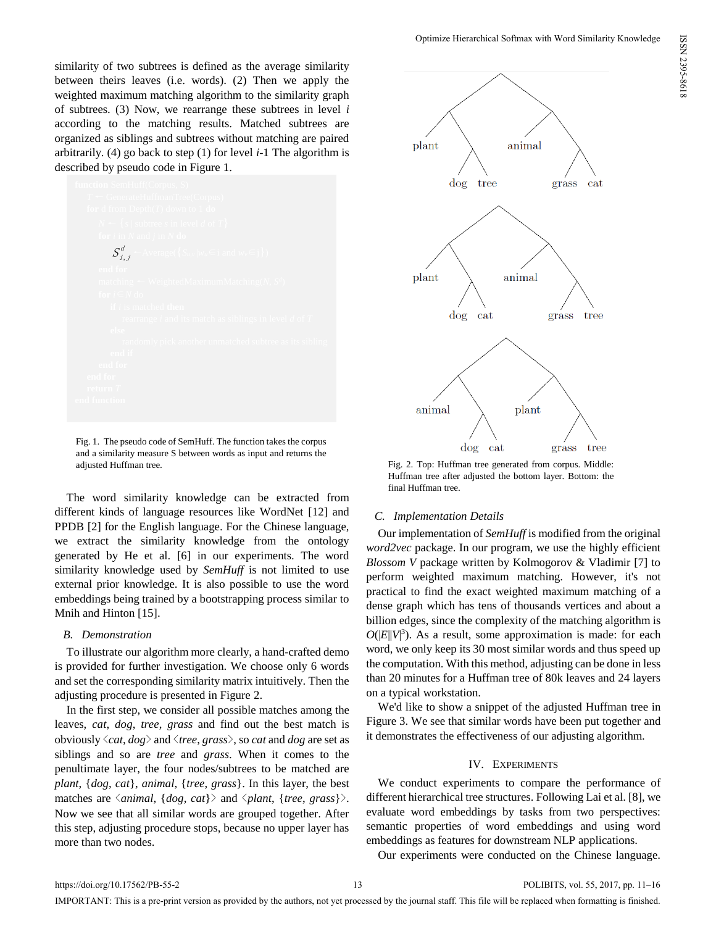similarity of two subtrees is defined as the average similarity between theirs leaves (i.e. words). (2) Then we apply the weighted maximum matching algorithm to the similarity graph of subtrees. (3) Now, we rearrange these subtrees in level *i* according to the matching results. Matched subtrees are organized as siblings and subtrees without matching are paired arbitrarily. (4) go back to step (1) for level *i*-1 The algorithm is described by pseudo code in Figure 1.



Fig. 1. The pseudo code of SemHuff. The function takes the corpus and a similarity measure S between words as input and returns the adjusted Huffman tree. Fig. 2. Top: Huffman tree generated from corpus. Middle:

The word similarity knowledge can be extracted from different kinds of language resources like WordNet [12] and PPDB [2] for the English language. For the Chinese language, we extract the similarity knowledge from the ontology generated by He et al. [6] in our experiments. The word similarity knowledge used by *SemHuff* is not limited to use external prior knowledge. It is also possible to use the word embeddings being trained by a bootstrapping process similar to Mnih and Hinton [15].

## *B. Demonstration*

To illustrate our algorithm more clearly, a hand-crafted demo is provided for further investigation. We choose only 6 words and set the corresponding similarity matrix intuitively. Then the adjusting procedure is presented in Figure 2.

In the first step, we consider all possible matches among the leaves, *cat*, *dog*, *tree*, *grass* and find out the best match is obviously <*cat*, *dog*> and <*tree*, *grass*>, so *cat* and *dog* are set as siblings and so are *tree* and *grass*. When it comes to the penultimate layer, the four nodes/subtrees to be matched are *plant*, {*dog*, *cat*}, *animal*, {*tree*, *grass*}. In this layer, the best matches are  $\langle animal, \{dog, cat\} \rangle$  and  $\langle plant, \{tree, grass\} \rangle$ . Now we see that all similar words are grouped together. After this step, adjusting procedure stops, because no upper layer has more than two nodes.



Optimize Hierarchical Softmax with Word Similarity Knowledge

Huffman tree after adjusted the bottom layer. Bottom: the final Huffman tree.

# *C. Implementation Details*

Our implementation of *SemHuff* is modified from the original *word2vec* package. In our program, we use the highly efficient *Blossom V* package written by Kolmogorov & Vladimir [7] to perform weighted maximum matching. However, it's not practical to find the exact weighted maximum matching of a dense graph which has tens of thousands vertices and about a billion edges, since the complexity of the matching algorithm is  $O(|E||V|^3)$ . As a result, some approximation is made: for each word, we only keep its 30 most similar words and thus speed up the computation. With this method, adjusting can be done in less than 20 minutes for a Huffman tree of 80k leaves and 24 layers on a typical workstation.

We'd like to show a snippet of the adjusted Huffman tree in Figure 3. We see that similar words have been put together and it demonstrates the effectiveness of our adjusting algorithm.

# IV. EXPERIMENTS

We conduct experiments to compare the performance of different hierarchical tree structures. Following Lai et al. [8], we evaluate word embeddings by tasks from two perspectives: semantic properties of word embeddings and using word embeddings as features for downstream NLP applications.

Our experiments were conducted on the Chinese language.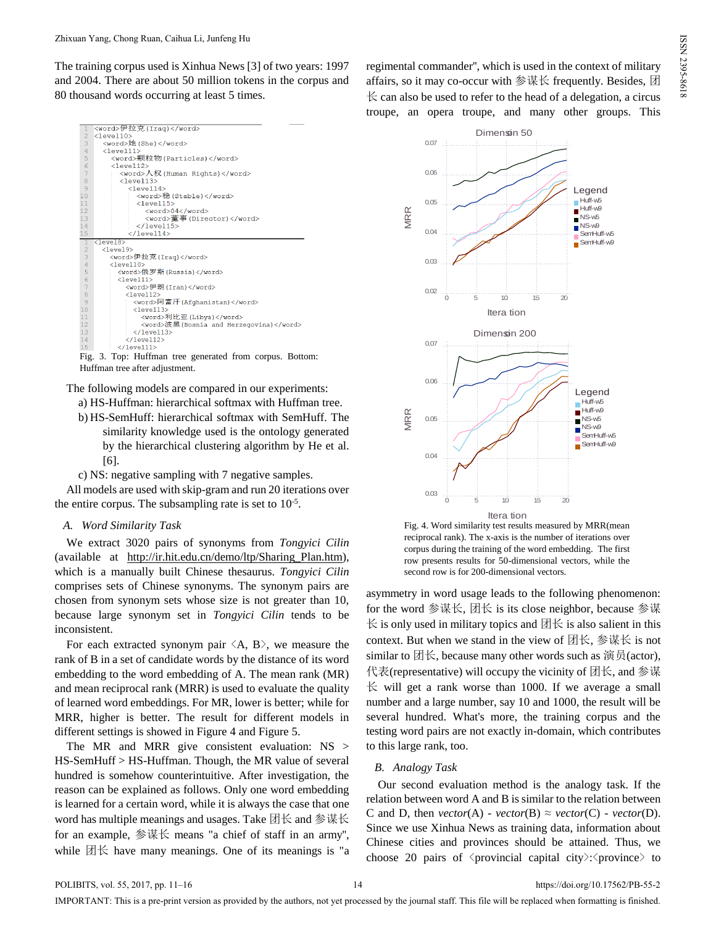The training corpus used is Xinhua News [3] of two years: 1997 and 2004. There are about 50 million tokens in the corpus and 80 thousand words occurring at least 5 times.



Fig. 3. Top: Huffman tree generated from corpus. Bottom: Huffman tree after adjustment.

The following models are compared in our experiments:

- a) HS-Huffman: hierarchical softmax with Huffman tree.
- b) HS-SemHuff: hierarchical softmax with SemHuff. The similarity knowledge used is the ontology generated by the hierarchical clustering algorithm by He et al. [6].

c) NS: negative sampling with 7 negative samples.

All models are used with skip-gram and run 20 iterations over the entire corpus. The subsampling rate is set to  $10^{-5}$ .

## *A. Word Similarity Task*

We extract 3020 pairs of synonyms from *Tongyici Cilin* (available at [http://ir.hit.edu.cn/demo/ltp/Sharing\\_Plan.htm\)](http://ir.hit.edu.cn/demo/ltp/Sharing_Plan.htm), which is a manually built Chinese thesaurus. *Tongyici Cilin* comprises sets of Chinese synonyms. The synonym pairs are chosen from synonym sets whose size is not greater than 10, because large synonym set in *Tongyici Cilin* tends to be inconsistent.

For each extracted synonym pair  $\langle A, B \rangle$ , we measure the rank of B in a set of candidate words by the distance of its word embedding to the word embedding of A. The mean rank (MR) and mean reciprocal rank (MRR) is used to evaluate the quality of learned word embeddings. For MR, lower is better; while for MRR, higher is better. The result for different models in different settings is showed in Figure 4 and Figure 5.

The MR and MRR give consistent evaluation:  $NS >$ HS-SemHuff > HS-Huffman. Though, the MR value of several hundred is somehow counterintuitive. After investigation, the reason can be explained as follows. Only one word embedding is learned for a certain word, while it is always the case that one word has multiple meanings and usages. Take 团长 and 参谋长 for an example, 参谋长 means "a chief of staff in an army'', while  $\boxtimes \times$  have many meanings. One of its meanings is "a regimental commander'', which is used in the context of military affairs, so it may co-occur with 参谋长 frequently. Besides, 团  $\&$  can also be used to refer to the head of a delegation, a circus troupe, an opera troupe, and many other groups. This



Fig. 4. Word similarity test results measured by MRR(mean reciprocal rank). The x-axis is the number of iterations over corpus during the training of the word embedding. The first row presents results for 50-dimensional vectors, while the second row is for 200-dimensional vectors.

asymmetry in word usage leads to the following phenomenon: for the word 参谋长, 团长 is its close neighbor, because 参谋  $\&$  is only used in military topics and  $\boxtimes \times$  is also salient in this context. But when we stand in the view of  $\boxtimes \mathbb{K}$ , 参谋长 is not similar to 团长, because many other words such as 演员(actor), 代表(representative) will occupy the vicinity of 团长, and 参谋  $\&$  will get a rank worse than 1000. If we average a small number and a large number, say 10 and 1000, the result will be several hundred. What's more, the training corpus and the testing word pairs are not exactly in-domain, which contributes to this large rank, too.

## *B. Analogy Task*

Our second evaluation method is the analogy task. If the relation between word A and B is similar to the relation between C and D, then  $vector(A)$  -  $vector(B) \approx vector(C)$  -  $vector(D)$ . Since we use Xinhua News as training data, information about Chinese cities and provinces should be attained. Thus, we choose 20 pairs of  $\langle$  provincial capital city>: $\langle$  province  $\rangle$  to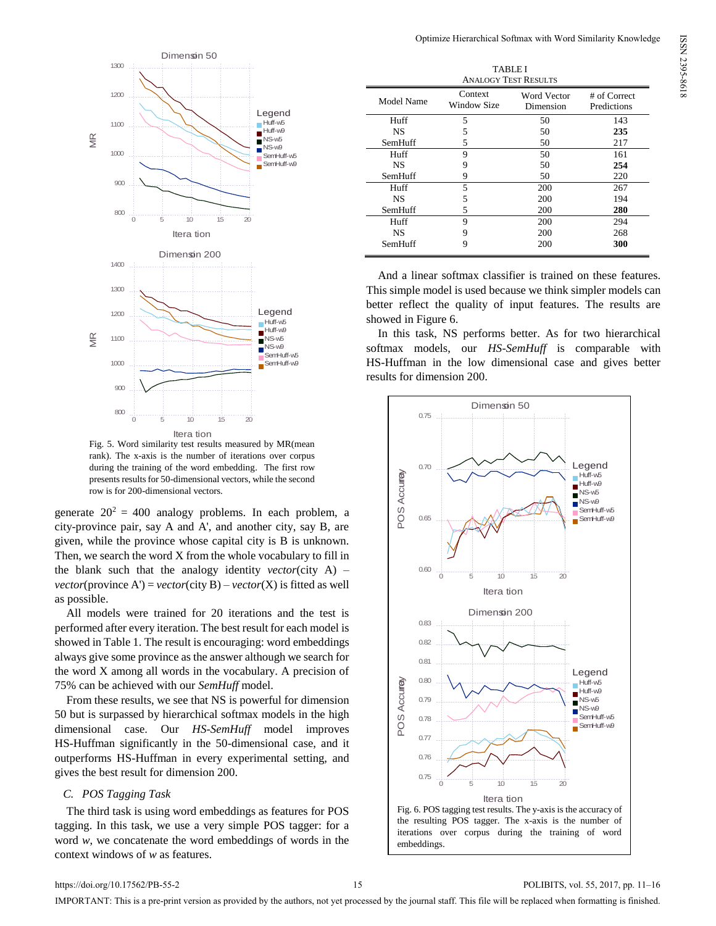

Fig. 5. Word similarity test results measured by MR(mean rank). The x-axis is the number of iterations over corpus during the training of the word embedding. The first row presents results for 50-dimensional vectors, while the second row is for 200-dimensional vectors.

generate  $20^2 = 400$  analogy problems. In each problem, a city-province pair, say A and A', and another city, say B, are given, while the province whose capital city is B is unknown. Then, we search the word X from the whole vocabulary to fill in the blank such that the analogy identity *vector*(city A) – *vector*(province A') = *vector*(city B) – *vector*(X) is fitted as well as possible.

All models were trained for 20 iterations and the test is performed after every iteration. The best result for each model is showed in Table 1. The result is encouraging: word embeddings always give some province as the answer although we search for the word X among all words in the vocabulary. A precision of 75% can be achieved with our *SemHuff* model.

From these results, we see that NS is powerful for dimension 50 but is surpassed by hierarchical softmax models in the high dimensional case. Our *HS-SemHuff* model improves HS-Huffman significantly in the 50-dimensional case, and it outperforms HS-Huffman in every experimental setting, and gives the best result for dimension 200.

# *C. POS Tagging Task*

The third task is using word embeddings as features for POS tagging. In this task, we use a very simple POS tagger: for a word *w*, we concatenate the word embeddings of words in the context windows of *w* as features.

| <b>TABLE I</b><br><b>ANALOGY TEST RESULTS</b> |                        |                          |                             |
|-----------------------------------------------|------------------------|--------------------------|-----------------------------|
| Model Name                                    | Context<br>Window Size | Word Vector<br>Dimension | # of Correct<br>Predictions |
| Huff                                          | 5                      | 50                       | 143                         |
| <b>NS</b>                                     | 5                      | 50                       | 235                         |
| SemHuff                                       | 5                      | 50                       | 217                         |
| Huff                                          | 9                      | 50                       | 161                         |
| <b>NS</b>                                     | 9                      | 50                       | 254                         |
| SemHuff                                       | 9                      | 50                       | 220                         |
| Huff                                          | 5                      | 200                      | 267                         |
| <b>NS</b>                                     | 5                      | 200                      | 194                         |
| SemHuff                                       | 5                      | 200                      | 280                         |
| Huff                                          | 9                      | 200                      | 294                         |
| <b>NS</b>                                     | 9                      | 200                      | 268                         |
| SemHuff                                       | 9                      | 200                      | 300                         |

And a linear softmax classifier is trained on these features. This simple model is used because we think simpler models can better reflect the quality of input features. The results are showed in Figure 6.

In this task, NS performs better. As for two hierarchical softmax models, our *HS-SemHuff* is comparable with HS-Huffman in the low dimensional case and gives better results for dimension 200.



ISSN 2395-8618ISSN 2395-8618